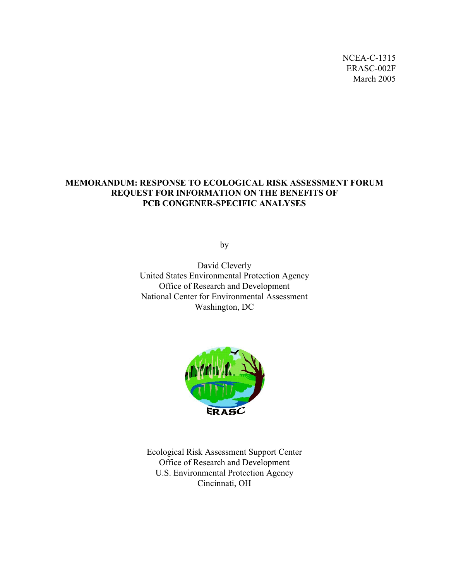NCEA-C-1315 ERASC-002F March 2005

## **MEMORANDUM: RESPONSE TO ECOLOGICAL RISK ASSESSMENT FORUM REQUEST FOR INFORMATION ON THE BENEFITS OF PCB CONGENER-SPECIFIC ANALYSES**

by

David Cleverly United States Environmental Protection Agency Office of Research and Development National Center for Environmental Assessment Washington, DC



Ecological Risk Assessment Support Center Office of Research and Development U.S. Environmental Protection Agency Cincinnati, OH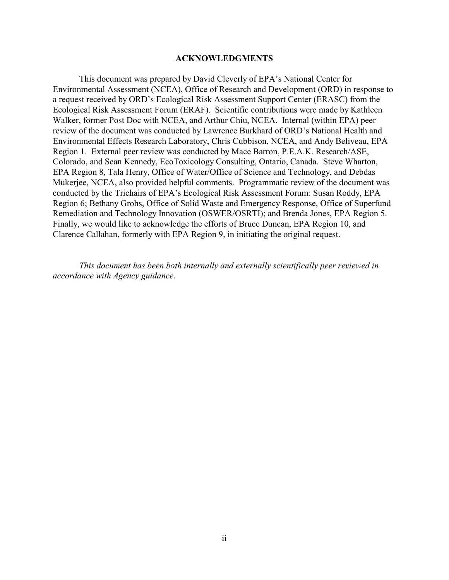#### **ACKNOWLEDGMENTS**

This document was prepared by David Cleverly of EPA's National Center for Environmental Assessment (NCEA), Office of Research and Development (ORD) in response to a request received by ORD's Ecological Risk Assessment Support Center (ERASC) from the Ecological Risk Assessment Forum (ERAF). Scientific contributions were made by Kathleen Walker, former Post Doc with NCEA, and Arthur Chiu, NCEA. Internal (within EPA) peer review of the document was conducted by Lawrence Burkhard of ORD's National Health and Environmental Effects Research Laboratory, Chris Cubbison, NCEA, and Andy Beliveau, EPA Region 1. External peer review was conducted by Mace Barron, P.E.A.K. Research/ASE, Colorado, and Sean Kennedy, EcoToxicology Consulting, Ontario, Canada. Steve Wharton, EPA Region 8, Tala Henry, Office of Water/Office of Science and Technology, and Debdas Mukerjee, NCEA, also provided helpful comments. Programmatic review of the document was conducted by the Trichairs of EPA's Ecological Risk Assessment Forum: Susan Roddy, EPA Region 6; Bethany Grohs, Office of Solid Waste and Emergency Response, Office of Superfund Remediation and Technology Innovation (OSWER/OSRTI); and Brenda Jones, EPA Region 5. Finally, we would like to acknowledge the efforts of Bruce Duncan, EPA Region 10, and Clarence Callahan, formerly with EPA Region 9, in initiating the original request.

*This document has been both internally and externally scientifically peer reviewed in accordance with Agency guidance*.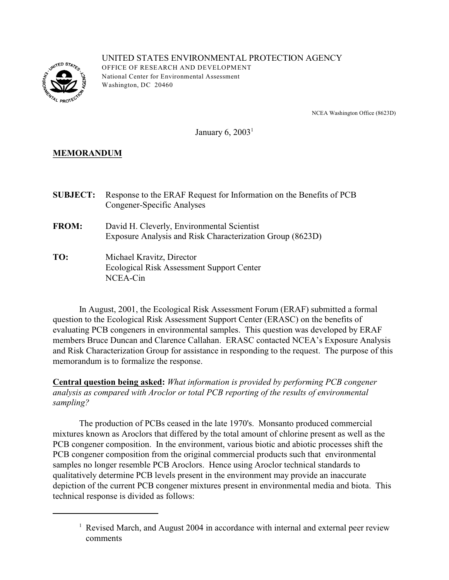

UNITED STATES ENVIRONMENTAL PROTECTION AGENCY OFFICE OF RESEARCH AND DEVELOPMENT National Center for Environmental Assessment W ashington, DC 20460

NCEA Washington Office (8623D)

January 6,  $2003<sup>1</sup>$ 

# **MEMORANDUM**

| <b>SUBJECT:</b> | Response to the ERAF Request for Information on the Benefits of PCB<br>Congener-Specific Analyses       |
|-----------------|---------------------------------------------------------------------------------------------------------|
| <b>FROM:</b>    | David H. Cleverly, Environmental Scientist<br>Exposure Analysis and Risk Characterization Group (8623D) |
| TO:             | Michael Kravitz, Director<br>Ecological Risk Assessment Support Center<br>NCEA-Cin                      |

In August, 2001, the Ecological Risk Assessment Forum (ERAF) submitted a formal question to the Ecological Risk Assessment Support Center (ERASC) on the benefits of evaluating PCB congeners in environmental samples. This question was developed by ERAF members Bruce Duncan and Clarence Callahan. ERASC contacted NCEA's Exposure Analysis and Risk Characterization Group for assistance in responding to the request. The purpose of this memorandum is to formalize the response.

**Central question being asked:** *What information is provided by performing PCB congener analysis as compared with Aroclor or total PCB reporting of the results of environmental sampling?* 

The production of PCBs ceased in the late 1970's. Monsanto produced commercial mixtures known as Aroclors that differed by the total amount of chlorine present as well as the PCB congener composition. In the environment, various biotic and abiotic processes shift the PCB congener composition from the original commercial products such that environmental samples no longer resemble PCB Aroclors. Hence using Aroclor technical standards to qualitatively determine PCB levels present in the environment may provide an inaccurate depiction of the current PCB congener mixtures present in environmental media and biota. This technical response is divided as follows:

<sup>&</sup>lt;sup>1</sup> Revised March, and August 2004 in accordance with internal and external peer review comments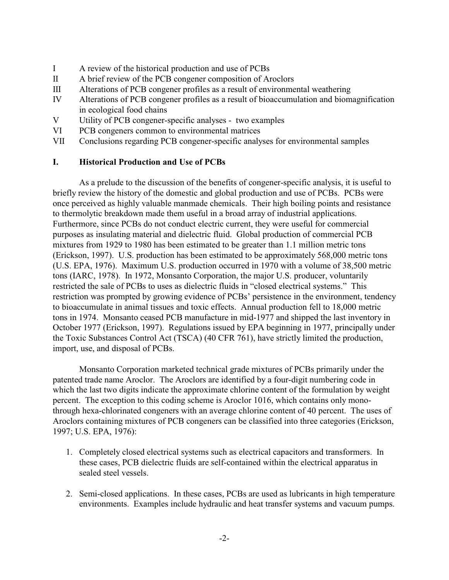- I A review of the historical production and use of PCBs
- II A brief review of the PCB congener composition of Aroclors
- III Alterations of PCB congener profiles as a result of environmental weathering
- IV Alterations of PCB congener profiles as a result of bioaccumulation and biomagnification in ecological food chains
- V Utility of PCB congener-specific analyses two examples
- VI PCB congeners common to environmental matrices
- VII Conclusions regarding PCB congener-specific analyses for environmental samples

### **I. Historical Production and Use of PCBs**

As a prelude to the discussion of the benefits of congener-specific analysis, it is useful to briefly review the history of the domestic and global production and use of PCBs. PCBs were once perceived as highly valuable manmade chemicals. Their high boiling points and resistance to thermolytic breakdown made them useful in a broad array of industrial applications. Furthermore, since PCBs do not conduct electric current, they were useful for commercial purposes as insulating material and dielectric fluid. Global production of commercial PCB mixtures from 1929 to 1980 has been estimated to be greater than 1.1 million metric tons (Erickson, 1997). U.S. production has been estimated to be approximately 568,000 metric tons (U.S. EPA, 1976). Maximum U.S. production occurred in 1970 with a volume of 38,500 metric tons (IARC, 1978). In 1972, Monsanto Corporation, the major U.S. producer, voluntarily restricted the sale of PCBs to uses as dielectric fluids in "closed electrical systems." This restriction was prompted by growing evidence of PCBs' persistence in the environment, tendency to bioaccumulate in animal tissues and toxic effects. Annual production fell to 18,000 metric tons in 1974. Monsanto ceased PCB manufacture in mid-1977 and shipped the last inventory in October 1977 (Erickson, 1997). Regulations issued by EPA beginning in 1977, principally under the Toxic Substances Control Act (TSCA) (40 CFR 761), have strictly limited the production, import, use, and disposal of PCBs.

Monsanto Corporation marketed technical grade mixtures of PCBs primarily under the patented trade name Aroclor. The Aroclors are identified by a four-digit numbering code in which the last two digits indicate the approximate chlorine content of the formulation by weight percent. The exception to this coding scheme is Aroclor 1016, which contains only monothrough hexa-chlorinated congeners with an average chlorine content of 40 percent. The uses of Aroclors containing mixtures of PCB congeners can be classified into three categories (Erickson, 1997; U.S. EPA, 1976):

- 1. Completely closed electrical systems such as electrical capacitors and transformers. In these cases, PCB dielectric fluids are self-contained within the electrical apparatus in sealed steel vessels.
- 2. Semi-closed applications. In these cases, PCBs are used as lubricants in high temperature environments. Examples include hydraulic and heat transfer systems and vacuum pumps.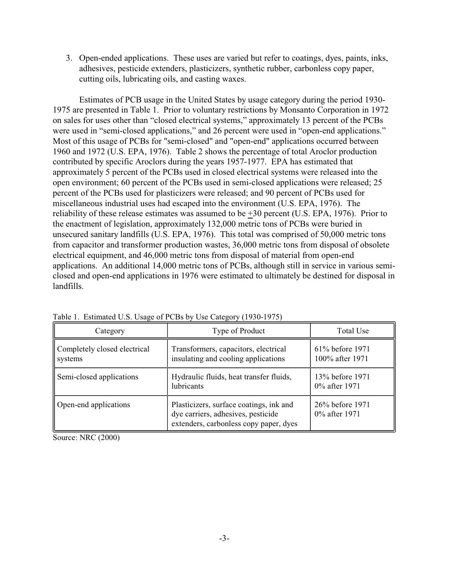3. Open-ended applications. These uses are varied but refer to coatings, dyes, paints, inks, adhesives, pesticide extenders, plasticizers, synthetic rubber, carbonless copy paper, cutting oils, lubricating oils, and casting waxes.

Estimates of PCB usage in the United States by usage category during the period 1930 1975 are presented in Table 1. Prior to voluntary restrictions by Monsanto Corporation in 1972 on sales for uses other than "closed electrical systems," approximately 13 percent of the PCBs were used in "semi-closed applications," and 26 percent were used in "open-end applications." Most of this usage of PCBs for "semi-closed" and "open-end" applications occurred between 1960 and 1972 (U.S. EPA, 1976). Table 2 shows the percentage of total Aroclor production contributed by specific Aroclors during the years 1957-1977. EPA has estimated that approximately 5 percent of the PCBs used in closed electrical systems were released into the open environment; 60 percent of the PCBs used in semi-closed applications were released; 25 percent of the PCBs used for plasticizers were released; and 90 percent of PCBs used for miscellaneous industrial uses had escaped into the environment (U.S. EPA, 1976). The reliability of these release estimates was assumed to be +30 percent (U.S. EPA, 1976). Prior to the enactment of legislation, approximately 132,000 metric tons of PCBs were buried in unsecured sanitary landfills (U.S. EPA, 1976). This total was comprised of 50,000 metric tons from capacitor and transformer production wastes, 36,000 metric tons from disposal of obsolete electrical equipment, and 46,000 metric tons from disposal of material from open-end applications. An additional 14,000 metric tons of PCBs, although still in service in various semiclosed and open-end applications in 1976 were estimated to ultimately be destined for disposal in landfills.

| Category                                | Type of Product                                                                                                         | Total Use                          |
|-----------------------------------------|-------------------------------------------------------------------------------------------------------------------------|------------------------------------|
| Completely closed electrical<br>systems | Transformers, capacitors, electrical<br>insulating and cooling applications                                             | 61% before 1971<br>100% after 1971 |
| Semi-closed applications                | Hydraulic fluids, heat transfer fluids,<br>lubricants                                                                   | 13% before 1971<br>0% after 1971   |
| Open-end applications                   | Plasticizers, surface coatings, ink and<br>dye carriers, adhesives, pesticide<br>extenders, carbonless copy paper, dyes | 26% before 1971<br>0% after 1971   |

Table 1. Estimated U.S. Usage of PCBs by Use Category (1930-1975)

Source: NRC (2000)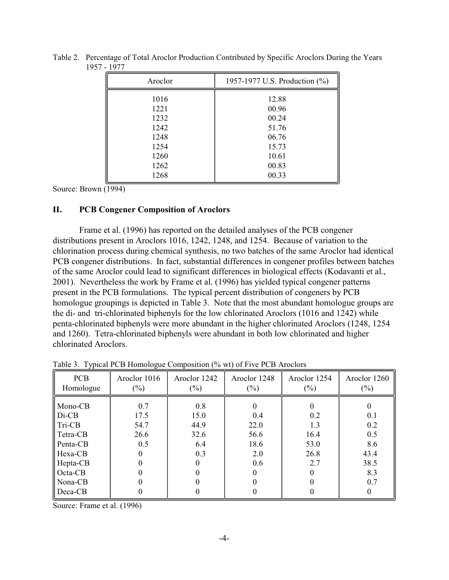| Aroclor | 1957-1977 U.S. Production (%) |
|---------|-------------------------------|
| 1016    | 12.88                         |
| 1221    | 00.96                         |
| 1232    | 00.24                         |
| 1242    | 51.76                         |
| 1248    | 06.76                         |
| 1254    | 15.73                         |
| 1260    | 10.61                         |
| 1262    | 00.83                         |
| 1268    | 00.33                         |

Table 2. Percentage of Total Aroclor Production Contributed by Specific Aroclors During the Years 1957 - 1977

Source: Brown (1994)

### **II. PCB Congener Composition of Aroclors**

Frame et al. (1996) has reported on the detailed analyses of the PCB congener distributions present in Aroclors 1016, 1242, 1248, and 1254. Because of variation to the chlorination process during chemical synthesis, no two batches of the same Aroclor had identical PCB congener distributions. In fact, substantial differences in congener profiles between batches of the same Aroclor could lead to significant differences in biological effects (Kodavanti et al., 2001). Nevertheless the work by Frame et al. (1996) has yielded typical congener patterns present in the PCB formulations. The typical percent distribution of congeners by PCB homologue groupings is depicted in Table 3. Note that the most abundant homologue groups are the di- and tri-chlorinated biphenyls for the low chlorinated Aroclors (1016 and 1242) while penta-chlorinated biphenyls were more abundant in the higher chlorinated Aroclors (1248, 1254 and 1260). Tetra-chlorinated biphenyls were abundant in both low chlorinated and higher chlorinated Aroclors.

| <b>PCB</b><br>Homologue | Aroclor 1016<br>$(\%)$ | Aroclor 1242<br>$(\%)$ | Aroclor 1248<br>$(\%)$ | Aroclor 1254<br>$(\%)$ | Aroclor 1260<br>$(\%)$ |
|-------------------------|------------------------|------------------------|------------------------|------------------------|------------------------|
| Mono-CB                 | 0.7                    | 0.8                    |                        |                        |                        |
| $Di-CB$                 | 17.5                   | 15.0                   | 0.4                    | 0.2                    | 0.1                    |
| Tri-CB                  | 54.7                   | 44.9                   | 22.0                   | 1.3                    | 0.2                    |
| Tetra-CB                | 26.6                   | 32.6                   | 56.6                   | 16.4                   | 0.5                    |
| Penta-CB                | 0.5                    | 6.4                    | 18.6                   | 53.0                   | 8.6                    |
| Hexa-CB                 |                        | 0.3                    | 2.0                    | 26.8                   | 43.4                   |
| Hepta-CB                |                        |                        | 0.6                    | 2.7                    | 38.5                   |
| Octa-CB                 |                        |                        |                        |                        | 8.3                    |
| Nona-CB                 |                        |                        |                        |                        | 0.7                    |
| Deca-CB                 |                        |                        |                        |                        |                        |

Table 3. Typical PCB Homologue Composition (% wt) of Five PCB Aroclors

Source: Frame et al. (1996)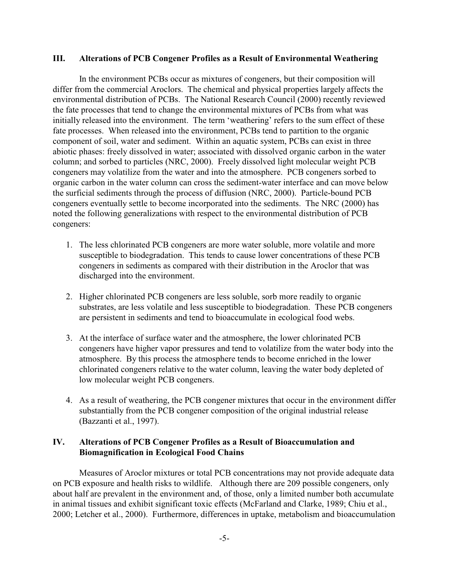#### **III. Alterations of PCB Congener Profiles as a Result of Environmental Weathering**

In the environment PCBs occur as mixtures of congeners, but their composition will differ from the commercial Aroclors. The chemical and physical properties largely affects the environmental distribution of PCBs. The National Research Council (2000) recently reviewed the fate processes that tend to change the environmental mixtures of PCBs from what was initially released into the environment. The term 'weathering' refers to the sum effect of these fate processes. When released into the environment, PCBs tend to partition to the organic component of soil, water and sediment. Within an aquatic system, PCBs can exist in three abiotic phases: freely dissolved in water; associated with dissolved organic carbon in the water column; and sorbed to particles (NRC, 2000). Freely dissolved light molecular weight PCB congeners may volatilize from the water and into the atmosphere. PCB congeners sorbed to organic carbon in the water column can cross the sediment-water interface and can move below the surficial sediments through the process of diffusion (NRC, 2000). Particle-bound PCB congeners eventually settle to become incorporated into the sediments. The NRC (2000) has noted the following generalizations with respect to the environmental distribution of PCB congeners:

- 1. The less chlorinated PCB congeners are more water soluble, more volatile and more susceptible to biodegradation. This tends to cause lower concentrations of these PCB congeners in sediments as compared with their distribution in the Aroclor that was discharged into the environment.
- 2. Higher chlorinated PCB congeners are less soluble, sorb more readily to organic substrates, are less volatile and less susceptible to biodegradation. These PCB congeners are persistent in sediments and tend to bioaccumulate in ecological food webs.
- 3. At the interface of surface water and the atmosphere, the lower chlorinated PCB congeners have higher vapor pressures and tend to volatilize from the water body into the atmosphere. By this process the atmosphere tends to become enriched in the lower chlorinated congeners relative to the water column, leaving the water body depleted of low molecular weight PCB congeners.
- 4. As a result of weathering, the PCB congener mixtures that occur in the environment differ substantially from the PCB congener composition of the original industrial release (Bazzanti et al., 1997).

### **IV. Alterations of PCB Congener Profiles as a Result of Bioaccumulation and Biomagnification in Ecological Food Chains**

Measures of Aroclor mixtures or total PCB concentrations may not provide adequate data on PCB exposure and health risks to wildlife. Although there are 209 possible congeners, only about half are prevalent in the environment and, of those, only a limited number both accumulate in animal tissues and exhibit significant toxic effects (McFarland and Clarke, 1989; Chiu et al., 2000; Letcher et al., 2000). Furthermore, differences in uptake, metabolism and bioaccumulation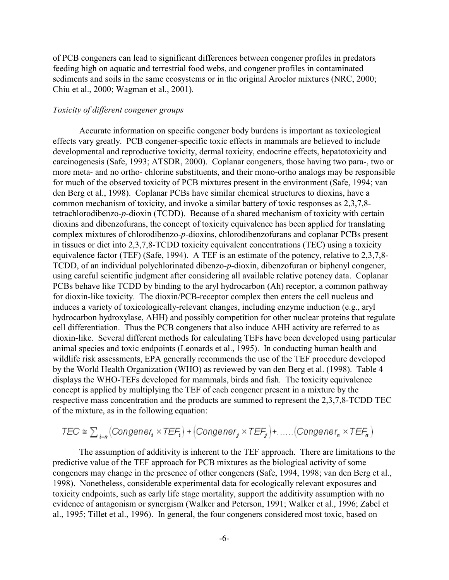of PCB congeners can lead to significant differences between congener profiles in predators feeding high on aquatic and terrestrial food webs, and congener profiles in contaminated sediments and soils in the same ecosystems or in the original Aroclor mixtures (NRC, 2000; Chiu et al., 2000; Wagman et al., 2001).

### *Toxicity of different congener groups*

Accurate information on specific congener body burdens is important as toxicological effects vary greatly. PCB congener-specific toxic effects in mammals are believed to include developmental and reproductive toxicity, dermal toxicity, endocrine effects, hepatotoxicity and carcinogenesis (Safe, 1993; ATSDR, 2000). Coplanar congeners, those having two para-, two or more meta- and no ortho- chlorine substituents, and their mono-ortho analogs may be responsible for much of the observed toxicity of PCB mixtures present in the environment (Safe, 1994; van den Berg et al., 1998). Coplanar PCBs have similar chemical structures to dioxins, have a common mechanism of toxicity, and invoke a similar battery of toxic responses as 2,3,7,8 tetrachlorodibenzo-*p*-dioxin (TCDD). Because of a shared mechanism of toxicity with certain dioxins and dibenzofurans, the concept of toxicity equivalence has been applied for translating complex mixtures of chlorodibenzo-*p*-dioxins, chlorodibenzofurans and coplanar PCBs present in tissues or diet into 2,3,7,8-TCDD toxicity equivalent concentrations (TEC) using a toxicity equivalence factor (TEF) (Safe, 1994). A TEF is an estimate of the potency, relative to 2,3,7,8- TCDD, of an individual polychlorinated dibenzo-*p*-dioxin, dibenzofuran or biphenyl congener, using careful scientific judgment after considering all available relative potency data. Coplanar PCBs behave like TCDD by binding to the aryl hydrocarbon (Ah) receptor, a common pathway for dioxin-like toxicity. The dioxin/PCB-receptor complex then enters the cell nucleus and induces a variety of toxicologically-relevant changes, including enzyme induction (e.g., aryl hydrocarbon hydroxylase, AHH) and possibly competition for other nuclear proteins that regulate cell differentiation. Thus the PCB congeners that also induce AHH activity are referred to as dioxin-like. Several different methods for calculating TEFs have been developed using particular animal species and toxic endpoints (Leonards et al., 1995). In conducting human health and wildlife risk assessments, EPA generally recommends the use of the TEF procedure developed by the World Health Organization (WHO) as reviewed by van den Berg et al. (1998). Table 4 displays the WHO-TEFs developed for mammals, birds and fish. The toxicity equivalence concept is applied by multiplying the TEF of each congener present in a mixture by the respective mass concentration and the products are summed to represent the 2,3,7,8-TCDD TEC of the mixture, as in the following equation:

$$
\mathsf{TEC} \cong \sum_{i \sim n} \big( \mathsf{Congener}_i \times \mathsf{TEF}_i \big) + \big( \mathsf{Congener}_j \times \mathsf{TEF}_j \big) + \dots \dots \big( \mathsf{Congener}_n \times \mathsf{TEF}_n \big)
$$

The assumption of additivity is inherent to the TEF approach. There are limitations to the predictive value of the TEF approach for PCB mixtures as the biological activity of some congeners may change in the presence of other congeners (Safe, 1994, 1998; van den Berg et al., 1998). Nonetheless, considerable experimental data for ecologically relevant exposures and toxicity endpoints, such as early life stage mortality, support the additivity assumption with no evidence of antagonism or synergism (Walker and Peterson, 1991; Walker et al., 1996; Zabel et al., 1995; Tillet et al., 1996). In general, the four congeners considered most toxic, based on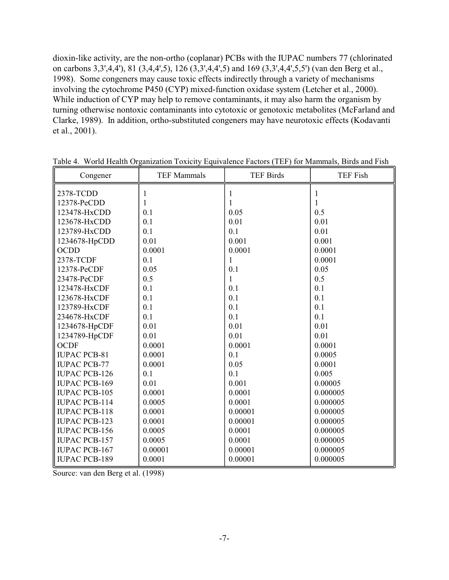dioxin-like activity, are the non-ortho (coplanar) PCBs with the IUPAC numbers 77 (chlorinated on carbons 3,3',4,4'), 81 (3,4,4',5), 126 (3,3',4,4',5) and 169 (3,3',4,4',5,5') (van den Berg et al., 1998). Some congeners may cause toxic effects indirectly through a variety of mechanisms involving the cytochrome P450 (CYP) mixed-function oxidase system (Letcher et al., 2000). While induction of CYP may help to remove contaminants, it may also harm the organism by turning otherwise nontoxic contaminants into cytotoxic or genotoxic metabolites (McFarland and Clarke, 1989). In addition, ortho-substituted congeners may have neurotoxic effects (Kodavanti et al., 2001).

| Congener             | <b>TEF Mammals</b> | <b>TEF Birds</b> | <b>TEF Fish</b> |
|----------------------|--------------------|------------------|-----------------|
| 2378-TCDD            |                    |                  |                 |
| 12378-PeCDD          |                    |                  |                 |
| 123478-HxCDD         | 0.1                | 0.05             | 0.5             |
| 123678-HxCDD         | 0.1                | 0.01             | 0.01            |
| 123789-HxCDD         | 0.1                | 0.1              | 0.01            |
| 1234678-HpCDD        | 0.01               | 0.001            | 0.001           |
| <b>OCDD</b>          | 0.0001             | 0.0001           | 0.0001          |
| 2378-TCDF            | 0.1                | 1                | 0.0001          |
| 12378-PeCDF          | 0.05               | 0.1              | 0.05            |
| 23478-PeCDF          | 0.5                | 1                | 0.5             |
| 123478-HxCDF         | 0.1                | 0.1              | 0.1             |
| 123678-HxCDF         | 0.1                | 0.1              | 0.1             |
| 123789-HxCDF         | 0.1                | 0.1              | 0.1             |
| 234678-HxCDF         | 0.1                | 0.1              | 0.1             |
| 1234678-HpCDF        | 0.01               | 0.01             | 0.01            |
| 1234789-HpCDF        | 0.01               | 0.01             | 0.01            |
| <b>OCDF</b>          | 0.0001             | 0.0001           | 0.0001          |
| <b>IUPAC PCB-81</b>  | 0.0001             | 0.1              | 0.0005          |
| <b>IUPAC PCB-77</b>  | 0.0001             | 0.05             | 0.0001          |
| <b>IUPAC PCB-126</b> | 0.1                | 0.1              | 0.005           |
| <b>IUPAC PCB-169</b> | 0.01               | 0.001            | 0.00005         |
| <b>IUPAC PCB-105</b> | 0.0001             | 0.0001           | 0.000005        |
| <b>IUPAC PCB-114</b> | 0.0005             | 0.0001           | 0.000005        |
| <b>IUPAC PCB-118</b> | 0.0001             | 0.00001          | 0.000005        |
| <b>IUPAC PCB-123</b> | 0.0001             | 0.00001          | 0.000005        |
| <b>IUPAC PCB-156</b> | 0.0005             | 0.0001           | 0.000005        |
| <b>IUPAC PCB-157</b> | 0.0005             | 0.0001           | 0.000005        |
| <b>IUPAC PCB-167</b> | 0.00001            | 0.00001          | 0.000005        |
| <b>IUPAC PCB-189</b> | 0.0001             | 0.00001          | 0.000005        |

Table 4. World Health Organization Toxicity Equivalence Factors (TEF) for Mammals, Birds and Fish

Source: van den Berg et al. (1998)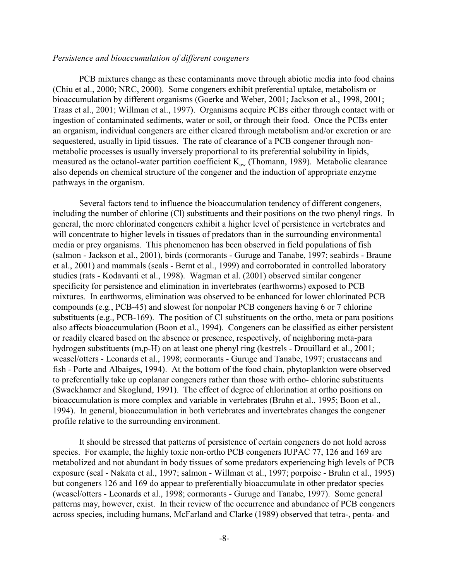### *Persistence and bioaccumulation of different congeners*

PCB mixtures change as these contaminants move through abiotic media into food chains (Chiu et al., 2000; NRC, 2000). Some congeners exhibit preferential uptake, metabolism or bioaccumulation by different organisms (Goerke and Weber, 2001; Jackson et al., 1998, 2001; Traas et al., 2001; Willman et al., 1997). Organisms acquire PCBs either through contact with or ingestion of contaminated sediments, water or soil, or through their food. Once the PCBs enter an organism, individual congeners are either cleared through metabolism and/or excretion or are sequestered, usually in lipid tissues. The rate of clearance of a PCB congener through nonmetabolic processes is usually inversely proportional to its preferential solubility in lipids, measured as the octanol-water partition coefficient  $K_{ow}$  (Thomann, 1989). Metabolic clearance also depends on chemical structure of the congener and the induction of appropriate enzyme pathways in the organism.

Several factors tend to influence the bioaccumulation tendency of different congeners, including the number of chlorine (Cl) substituents and their positions on the two phenyl rings. In general, the more chlorinated congeners exhibit a higher level of persistence in vertebrates and will concentrate to higher levels in tissues of predators than in the surrounding environmental media or prey organisms. This phenomenon has been observed in field populations of fish (salmon - Jackson et al., 2001), birds (cormorants - Guruge and Tanabe, 1997; seabirds - Braune et al., 2001) and mammals (seals - Bernt et al., 1999) and corroborated in controlled laboratory studies (rats - Kodavanti et al., 1998). Wagman et al. (2001) observed similar congener specificity for persistence and elimination in invertebrates (earthworms) exposed to PCB mixtures. In earthworms, elimination was observed to be enhanced for lower chlorinated PCB compounds (e.g., PCB-45) and slowest for nonpolar PCB congeners having 6 or 7 chlorine substituents (e.g., PCB-169). The position of Cl substituents on the ortho, meta or para positions also affects bioaccumulation (Boon et al., 1994). Congeners can be classified as either persistent or readily cleared based on the absence or presence, respectively, of neighboring meta-para hydrogen substituents (m,p-H) on at least one phenyl ring (kestrels - Drouillard et al., 2001; weasel/otters - Leonards et al., 1998; cormorants - Guruge and Tanabe, 1997; crustaceans and fish - Porte and Albaiges, 1994). At the bottom of the food chain, phytoplankton were observed to preferentially take up coplanar congeners rather than those with ortho- chlorine substituents (Swackhamer and Skoglund, 1991). The effect of degree of chlorination at ortho positions on bioaccumulation is more complex and variable in vertebrates (Bruhn et al., 1995; Boon et al., 1994). In general, bioaccumulation in both vertebrates and invertebrates changes the congener profile relative to the surrounding environment.

It should be stressed that patterns of persistence of certain congeners do not hold across species. For example, the highly toxic non-ortho PCB congeners IUPAC 77, 126 and 169 are metabolized and not abundant in body tissues of some predators experiencing high levels of PCB exposure (seal - Nakata et al., 1997; salmon - Willman et al., 1997; porpoise - Bruhn et al., 1995) but congeners 126 and 169 do appear to preferentially bioaccumulate in other predator species (weasel/otters - Leonards et al., 1998; cormorants - Guruge and Tanabe, 1997). Some general patterns may, however, exist. In their review of the occurrence and abundance of PCB congeners across species, including humans, McFarland and Clarke (1989) observed that tetra-, penta- and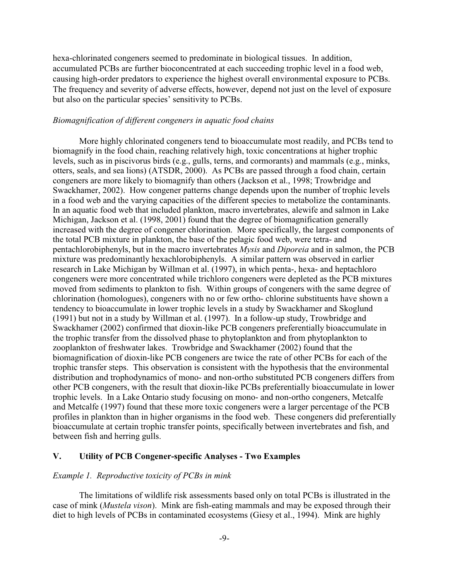hexa-chlorinated congeners seemed to predominate in biological tissues. In addition, accumulated PCBs are further bioconcentrated at each succeeding trophic level in a food web, causing high-order predators to experience the highest overall environmental exposure to PCBs. The frequency and severity of adverse effects, however, depend not just on the level of exposure but also on the particular species' sensitivity to PCBs.

#### *Biomagnification of different congeners in aquatic food chains*

More highly chlorinated congeners tend to bioaccumulate most readily, and PCBs tend to biomagnify in the food chain, reaching relatively high, toxic concentrations at higher trophic levels, such as in piscivorus birds (e.g., gulls, terns, and cormorants) and mammals (e.g., minks, otters, seals, and sea lions) (ATSDR, 2000). As PCBs are passed through a food chain, certain congeners are more likely to biomagnify than others (Jackson et al., 1998; Trowbridge and Swackhamer, 2002). How congener patterns change depends upon the number of trophic levels in a food web and the varying capacities of the different species to metabolize the contaminants. In an aquatic food web that included plankton, macro invertebrates, alewife and salmon in Lake Michigan, Jackson et al. (1998, 2001) found that the degree of biomagnification generally increased with the degree of congener chlorination. More specifically, the largest components of the total PCB mixture in plankton, the base of the pelagic food web, were tetra- and pentachlorobiphenyls, but in the macro invertebrates *Mysis* and *Diporeia* and in salmon, the PCB mixture was predominantly hexachlorobiphenyls. A similar pattern was observed in earlier research in Lake Michigan by Willman et al. (1997), in which penta-, hexa- and heptachloro congeners were more concentrated while trichloro congeners were depleted as the PCB mixtures moved from sediments to plankton to fish. Within groups of congeners with the same degree of chlorination (homologues), congeners with no or few ortho- chlorine substituents have shown a tendency to bioaccumulate in lower trophic levels in a study by Swackhamer and Skoglund (1991) but not in a study by Willman et al. (1997). In a follow-up study, Trowbridge and Swackhamer (2002) confirmed that dioxin-like PCB congeners preferentially bioaccumulate in the trophic transfer from the dissolved phase to phytoplankton and from phytoplankton to zooplankton of freshwater lakes. Trowbridge and Swackhamer (2002) found that the biomagnification of dioxin-like PCB congeners are twice the rate of other PCBs for each of the trophic transfer steps. This observation is consistent with the hypothesis that the environmental distribution and trophodynamics of mono- and non-ortho substituted PCB congeners differs from other PCB congeners, with the result that dioxin-like PCBs preferentially bioaccumulate in lower trophic levels. In a Lake Ontario study focusing on mono- and non-ortho congeners, Metcalfe and Metcalfe (1997) found that these more toxic congeners were a larger percentage of the PCB profiles in plankton than in higher organisms in the food web. These congeners did preferentially bioaccumulate at certain trophic transfer points, specifically between invertebrates and fish, and between fish and herring gulls.

#### **V. Utility of PCB Congener-specific Analyses - Two Examples**

#### *Example 1. Reproductive toxicity of PCBs in mink*

The limitations of wildlife risk assessments based only on total PCBs is illustrated in the case of mink (*Mustela vison*). Mink are fish-eating mammals and may be exposed through their diet to high levels of PCBs in contaminated ecosystems (Giesy et al., 1994). Mink are highly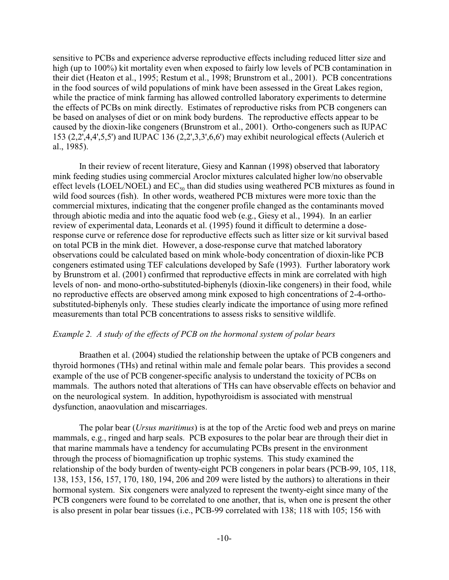sensitive to PCBs and experience adverse reproductive effects including reduced litter size and high (up to 100%) kit mortality even when exposed to fairly low levels of PCB contamination in their diet (Heaton et al., 1995; Restum et al., 1998; Brunstrom et al., 2001). PCB concentrations in the food sources of wild populations of mink have been assessed in the Great Lakes region, while the practice of mink farming has allowed controlled laboratory experiments to determine the effects of PCBs on mink directly. Estimates of reproductive risks from PCB congeners can be based on analyses of diet or on mink body burdens. The reproductive effects appear to be caused by the dioxin-like congeners (Brunstrom et al., 2001). Ortho-congeners such as IUPAC 153 (2,2',4,4',5,5') and IUPAC 136 (2,2',3,3',6,6') may exhibit neurological effects (Aulerich et al., 1985).

In their review of recent literature, Giesy and Kannan (1998) observed that laboratory mink feeding studies using commercial Aroclor mixtures calculated higher low/no observable effect levels (LOEL/NOEL) and  $EC_{50}$  than did studies using weathered PCB mixtures as found in wild food sources (fish). In other words, weathered PCB mixtures were more toxic than the commercial mixtures, indicating that the congener profile changed as the contaminants moved through abiotic media and into the aquatic food web (e.g., Giesy et al., 1994). In an earlier review of experimental data, Leonards et al. (1995) found it difficult to determine a doseresponse curve or reference dose for reproductive effects such as litter size or kit survival based on total PCB in the mink diet. However, a dose-response curve that matched laboratory observations could be calculated based on mink whole-body concentration of dioxin-like PCB congeners estimated using TEF calculations developed by Safe (1993). Further laboratory work by Brunstrom et al. (2001) confirmed that reproductive effects in mink are correlated with high levels of non- and mono-ortho-substituted-biphenyls (dioxin-like congeners) in their food, while no reproductive effects are observed among mink exposed to high concentrations of 2-4-orthosubstituted-biphenyls only. These studies clearly indicate the importance of using more refined measurements than total PCB concentrations to assess risks to sensitive wildlife.

#### *Example 2. A study of the effects of PCB on the hormonal system of polar bears*

Braathen et al. (2004) studied the relationship between the uptake of PCB congeners and thyroid hormones (THs) and retinal within male and female polar bears. This provides a second example of the use of PCB congener-specific analysis to understand the toxicity of PCBs on mammals. The authors noted that alterations of THs can have observable effects on behavior and on the neurological system. In addition, hypothyroidism is associated with menstrual dysfunction, anaovulation and miscarriages.

The polar bear (*Ursus maritimus*) is at the top of the Arctic food web and preys on marine mammals, e.g., ringed and harp seals. PCB exposures to the polar bear are through their diet in that marine mammals have a tendency for accumulating PCBs present in the environment through the process of biomagnification up trophic systems. This study examined the relationship of the body burden of twenty-eight PCB congeners in polar bears (PCB-99, 105, 118, 138, 153, 156, 157, 170, 180, 194, 206 and 209 were listed by the authors) to alterations in their hormonal system. Six congeners were analyzed to represent the twenty-eight since many of the PCB congeners were found to be correlated to one another, that is, when one is present the other is also present in polar bear tissues (i.e., PCB-99 correlated with 138; 118 with 105; 156 with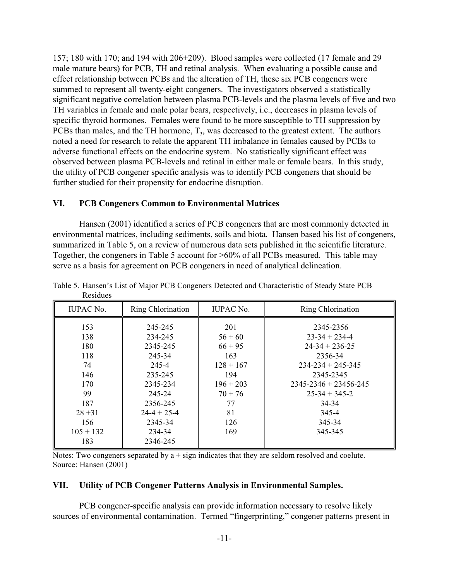157; 180 with 170; and 194 with 206+209). Blood samples were collected (17 female and 29 male mature bears) for PCB, TH and retinal analysis. When evaluating a possible cause and effect relationship between PCBs and the alteration of TH, these six PCB congeners were summed to represent all twenty-eight congeners. The investigators observed a statistically significant negative correlation between plasma PCB-levels and the plasma levels of five and two TH variables in female and male polar bears, respectively, i.e., decreases in plasma levels of specific thyroid hormones. Females were found to be more susceptible to TH suppression by PCBs than males, and the TH hormone,  $T_3$ , was decreased to the greatest extent. The authors noted a need for research to relate the apparent TH imbalance in females caused by PCBs to adverse functional effects on the endocrine system. No statistically significant effect was observed between plasma PCB-levels and retinal in either male or female bears. In this study, the utility of PCB congener specific analysis was to identify PCB congeners that should be further studied for their propensity for endocrine disruption.

### **VI. PCB Congeners Common to Environmental Matrices**

Hansen (2001) identified a series of PCB congeners that are most commonly detected in environmental matrices, including sediments, soils and biota. Hansen based his list of congeners, summarized in Table 5, on a review of numerous data sets published in the scientific literature. Together, the congeners in Table 5 account for >60% of all PCBs measured. This table may serve as a basis for agreement on PCB congeners in need of analytical delineation.

| <b>IUPAC No.</b> | Ring Chlorination | <b>IUPAC No.</b> | Ring Chlorination           |
|------------------|-------------------|------------------|-----------------------------|
| 153              | 245-245           | 201              | 2345-2356                   |
| 138              | 234-245           | $56 + 60$        | $23 - 34 + 234 - 4$         |
| 180              | 2345-245          | $66 + 95$        | $24-34+236-25$              |
| 118              | 245-34            | 163              | 2356-34                     |
| 74               | 245-4             | $128 + 167$      | $234 - 234 + 245 - 345$     |
| 146              | 235-245           | 194              | 2345-2345                   |
| 170              | 2345-234          | $196 + 203$      | $2345 - 2346 + 23456 - 245$ |
| 99               | 245-24            | $70 + 76$        | $25 - 34 + 345 - 2$         |
| 187              | 2356-245          | 77               | 34-34                       |
| $28 + 31$        | $24-4+25-4$       | 81               | 345-4                       |
| 156              | 2345-34           | 126              | 345-34                      |
| $105 + 132$      | 234-34            | 169              | 345-345                     |
| 183              | 2346-245          |                  |                             |

Table 5. Hansen's List of Major PCB Congeners Detected and Characteristic of Steady State PCB Residues

Notes: Two congeners separated by  $a + sign$  indicates that they are seldom resolved and coelute. Source: Hansen (2001)

### **VII. Utility of PCB Congener Patterns Analysis in Environmental Samples.**

PCB congener-specific analysis can provide information necessary to resolve likely sources of environmental contamination. Termed "fingerprinting," congener patterns present in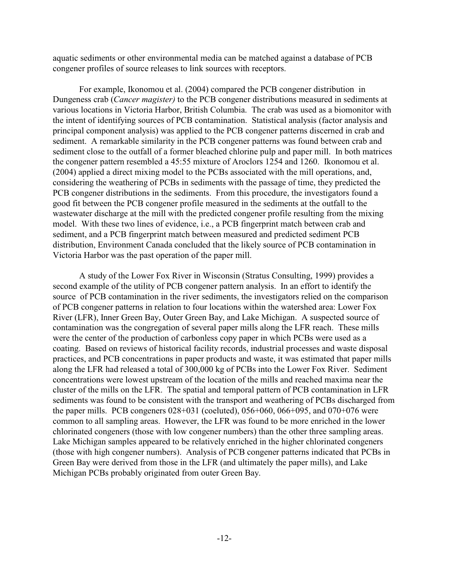aquatic sediments or other environmental media can be matched against a database of PCB congener profiles of source releases to link sources with receptors.

For example, Ikonomou et al. (2004) compared the PCB congener distribution in Dungeness crab (*Cancer magister)* to the PCB congener distributions measured in sediments at various locations in Victoria Harbor, British Columbia. The crab was used as a biomonitor with the intent of identifying sources of PCB contamination. Statistical analysis (factor analysis and principal component analysis) was applied to the PCB congener patterns discerned in crab and sediment. A remarkable similarity in the PCB congener patterns was found between crab and sediment close to the outfall of a former bleached chlorine pulp and paper mill. In both matrices the congener pattern resembled a 45:55 mixture of Aroclors 1254 and 1260. Ikonomou et al. (2004) applied a direct mixing model to the PCBs associated with the mill operations, and, considering the weathering of PCBs in sediments with the passage of time, they predicted the PCB congener distributions in the sediments. From this procedure, the investigators found a good fit between the PCB congener profile measured in the sediments at the outfall to the wastewater discharge at the mill with the predicted congener profile resulting from the mixing model. With these two lines of evidence, i.e., a PCB fingerprint match between crab and sediment, and a PCB fingerprint match between measured and predicted sediment PCB distribution, Environment Canada concluded that the likely source of PCB contamination in Victoria Harbor was the past operation of the paper mill.

A study of the Lower Fox River in Wisconsin (Stratus Consulting, 1999) provides a second example of the utility of PCB congener pattern analysis. In an effort to identify the source of PCB contamination in the river sediments, the investigators relied on the comparison of PCB congener patterns in relation to four locations within the watershed area: Lower Fox River (LFR), Inner Green Bay, Outer Green Bay, and Lake Michigan. A suspected source of contamination was the congregation of several paper mills along the LFR reach. These mills were the center of the production of carbonless copy paper in which PCBs were used as a coating. Based on reviews of historical facility records, industrial processes and waste disposal practices, and PCB concentrations in paper products and waste, it was estimated that paper mills along the LFR had released a total of 300,000 kg of PCBs into the Lower Fox River. Sediment concentrations were lowest upstream of the location of the mills and reached maxima near the cluster of the mills on the LFR. The spatial and temporal pattern of PCB contamination in LFR sediments was found to be consistent with the transport and weathering of PCBs discharged from the paper mills. PCB congeners 028+031 (coeluted), 056+060, 066+095, and 070+076 were common to all sampling areas. However, the LFR was found to be more enriched in the lower chlorinated congeners (those with low congener numbers) than the other three sampling areas. Lake Michigan samples appeared to be relatively enriched in the higher chlorinated congeners (those with high congener numbers). Analysis of PCB congener patterns indicated that PCBs in Green Bay were derived from those in the LFR (and ultimately the paper mills), and Lake Michigan PCBs probably originated from outer Green Bay.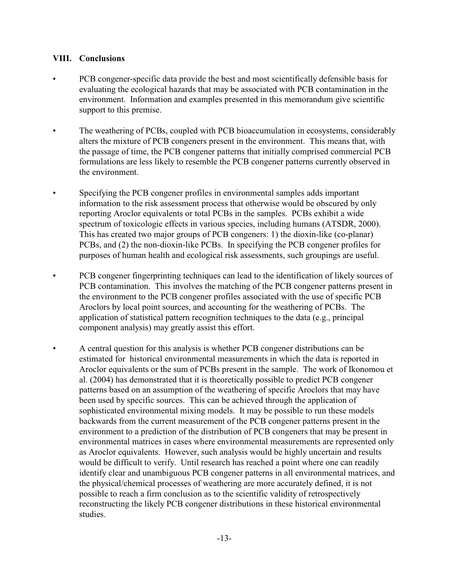### **VIII. Conclusions**

- PCB congener-specific data provide the best and most scientifically defensible basis for evaluating the ecological hazards that may be associated with PCB contamination in the environment. Information and examples presented in this memorandum give scientific support to this premise.
- The weathering of PCBs, coupled with PCB bioaccumulation in ecosystems, considerably alters the mixture of PCB congeners present in the environment. This means that, with the passage of time, the PCB congener patterns that initially comprised commercial PCB formulations are less likely to resemble the PCB congener patterns currently observed in the environment.
- Specifying the PCB congener profiles in environmental samples adds important information to the risk assessment process that otherwise would be obscured by only reporting Aroclor equivalents or total PCBs in the samples. PCBs exhibit a wide spectrum of toxicologic effects in various species, including humans (ATSDR, 2000). This has created two major groups of PCB congeners: 1) the dioxin-like (co-planar) PCBs, and (2) the non-dioxin-like PCBs. In specifying the PCB congener profiles for purposes of human health and ecological risk assessments, such groupings are useful.
- PCB congener fingerprinting techniques can lead to the identification of likely sources of PCB contamination. This involves the matching of the PCB congener patterns present in the environment to the PCB congener profiles associated with the use of specific PCB Aroclors by local point sources, and accounting for the weathering of PCBs. The application of statistical pattern recognition techniques to the data (e.g., principal component analysis) may greatly assist this effort.
- • A central question for this analysis is whether PCB congener distributions can be estimated for historical environmental measurements in which the data is reported in Aroclor equivalents or the sum of PCBs present in the sample. The work of Ikonomou et al. (2004) has demonstrated that it is theoretically possible to predict PCB congener patterns based on an assumption of the weathering of specific Aroclors that may have been used by specific sources. This can be achieved through the application of sophisticated environmental mixing models. It may be possible to run these models backwards from the current measurement of the PCB congener patterns present in the environment to a prediction of the distribution of PCB congeners that may be present in environmental matrices in cases where environmental measurements are represented only as Aroclor equivalents. However, such analysis would be highly uncertain and results would be difficult to verify. Until research has reached a point where one can readily identify clear and unambiguous PCB congener patterns in all environmental matrices, and the physical/chemical processes of weathering are more accurately defined, it is not possible to reach a firm conclusion as to the scientific validity of retrospectively reconstructing the likely PCB congener distributions in these historical environmental studies.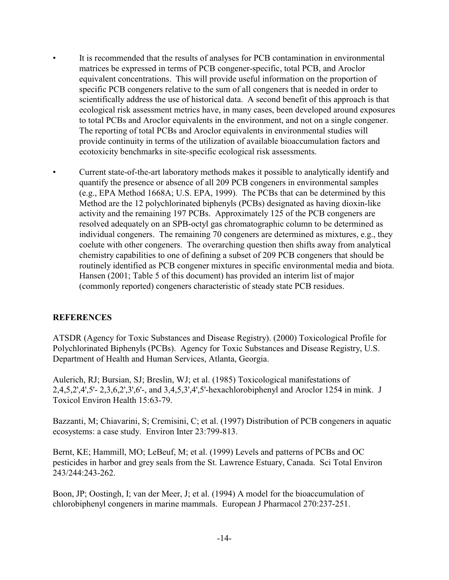- It is recommended that the results of analyses for PCB contamination in environmental matrices be expressed in terms of PCB congener-specific, total PCB, and Aroclor equivalent concentrations. This will provide useful information on the proportion of specific PCB congeners relative to the sum of all congeners that is needed in order to scientifically address the use of historical data. A second benefit of this approach is that ecological risk assessment metrics have, in many cases, been developed around exposures to total PCBs and Aroclor equivalents in the environment, and not on a single congener. The reporting of total PCBs and Aroclor equivalents in environmental studies will provide continuity in terms of the utilization of available bioaccumulation factors and ecotoxicity benchmarks in site-specific ecological risk assessments.
- Current state-of-the-art laboratory methods makes it possible to analytically identify and quantify the presence or absence of all 209 PCB congeners in environmental samples (e.g., EPA Method 1668A; U.S. EPA, 1999). The PCBs that can be determined by this Method are the 12 polychlorinated biphenyls (PCBs) designated as having dioxin-like activity and the remaining 197 PCBs. Approximately 125 of the PCB congeners are resolved adequately on an SPB-octyl gas chromatographic column to be determined as individual congeners. The remaining 70 congeners are determined as mixtures, e.g., they coelute with other congeners. The overarching question then shifts away from analytical chemistry capabilities to one of defining a subset of 209 PCB congeners that should be routinely identified as PCB congener mixtures in specific environmental media and biota. Hansen (2001; Table 5 of this document) has provided an interim list of major (commonly reported) congeners characteristic of steady state PCB residues.

## **REFERENCES**

ATSDR (Agency for Toxic Substances and Disease Registry). (2000) Toxicological Profile for Polychlorinated Biphenyls (PCBs). Agency for Toxic Substances and Disease Registry, U.S. Department of Health and Human Services, Atlanta, Georgia.

Aulerich, RJ; Bursian, SJ; Breslin, WJ; et al. (1985) Toxicological manifestations of 2,4,5,2',4',5'- 2,3,6,2',3',6'-, and 3,4,5,3',4',5'-hexachlorobiphenyl and Aroclor 1254 in mink. J Toxicol Environ Health 15:63-79.

Bazzanti, M; Chiavarini, S; Cremisini, C; et al. (1997) Distribution of PCB congeners in aquatic ecosystems: a case study. Environ Inter 23:799-813.

Bernt, KE; Hammill, MO; LeBeuf, M; et al. (1999) Levels and patterns of PCBs and OC pesticides in harbor and grey seals from the St. Lawrence Estuary, Canada. Sci Total Environ 243/244:243-262.

Boon, JP; Oostingh, I; van der Meer, J; et al. (1994) A model for the bioaccumulation of chlorobiphenyl congeners in marine mammals. European J Pharmacol 270:237-251.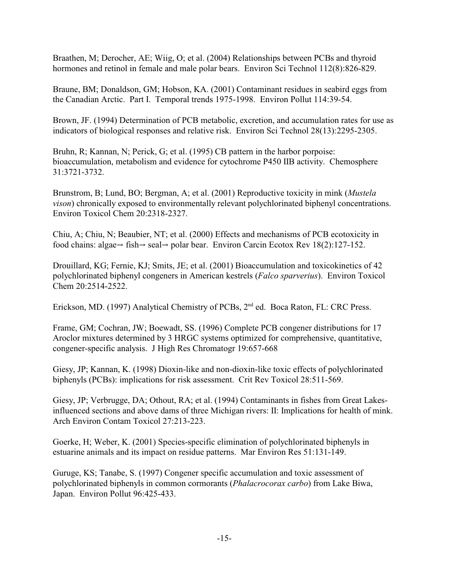Braathen, M; Derocher, AE; Wiig, O; et al. (2004) Relationships between PCBs and thyroid hormones and retinol in female and male polar bears. Environ Sci Technol 112(8):826-829.

Braune, BM; Donaldson, GM; Hobson, KA. (2001) Contaminant residues in seabird eggs from the Canadian Arctic. Part I. Temporal trends 1975-1998. Environ Pollut 114:39-54.

Brown, JF. (1994) Determination of PCB metabolic, excretion, and accumulation rates for use as indicators of biological responses and relative risk. Environ Sci Technol 28(13):2295-2305.

Bruhn, R; Kannan, N; Perick, G; et al. (1995) CB pattern in the harbor porpoise: bioaccumulation, metabolism and evidence for cytochrome P450 IIB activity. Chemosphere 31:3721-3732.

Brunstrom, B; Lund, BO; Bergman, A; et al. (2001) Reproductive toxicity in mink (*Mustela vison*) chronically exposed to environmentally relevant polychlorinated biphenyl concentrations. Environ Toxicol Chem 20:2318-2327.

Chiu, A; Chiu, N; Beaubier, NT; et al. (2000) Effects and mechanisms of PCB ecotoxicity in food chains: algae $\Rightarrow$  fish $\Rightarrow$  seal $\Rightarrow$  polar bear. Environ Carcin Ecotox Rev 18(2):127-152.

Drouillard, KG; Fernie, KJ; Smits, JE; et al. (2001) Bioaccumulation and toxicokinetics of 42 polychlorinated biphenyl congeners in American kestrels (*Falco sparverius*). Environ Toxicol Chem 20:2514-2522.

Erickson, MD. (1997) Analytical Chemistry of PCBs, 2<sup>nd</sup> ed. Boca Raton, FL: CRC Press.

Frame, GM; Cochran, JW; Boewadt, SS. (1996) Complete PCB congener distributions for 17 Aroclor mixtures determined by 3 HRGC systems optimized for comprehensive, quantitative, congener-specific analysis. J High Res Chromatogr 19:657-668

Giesy, JP; Kannan, K. (1998) Dioxin-like and non-dioxin-like toxic effects of polychlorinated biphenyls (PCBs): implications for risk assessment. Crit Rev Toxicol 28:511-569.

Giesy, JP; Verbrugge, DA; Othout, RA; et al. (1994) Contaminants in fishes from Great Lakesinfluenced sections and above dams of three Michigan rivers: II: Implications for health of mink. Arch Environ Contam Toxicol 27:213-223.

Goerke, H; Weber, K. (2001) Species-specific elimination of polychlorinated biphenyls in estuarine animals and its impact on residue patterns. Mar Environ Res 51:131-149.

Guruge, KS; Tanabe, S. (1997) Congener specific accumulation and toxic assessment of polychlorinated biphenyls in common cormorants (*Phalacrocorax carbo*) from Lake Biwa, Japan. Environ Pollut 96:425-433.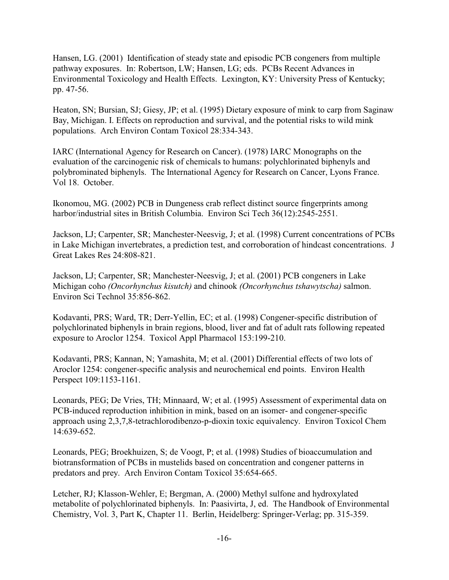Hansen, LG. (2001) Identification of steady state and episodic PCB congeners from multiple pathway exposures. In: Robertson, LW; Hansen, LG; eds. PCBs Recent Advances in Environmental Toxicology and Health Effects. Lexington, KY: University Press of Kentucky; pp. 47-56.

Heaton, SN; Bursian, SJ; Giesy, JP; et al. (1995) Dietary exposure of mink to carp from Saginaw Bay, Michigan. I. Effects on reproduction and survival, and the potential risks to wild mink populations. Arch Environ Contam Toxicol 28:334-343.

IARC (International Agency for Research on Cancer). (1978) IARC Monographs on the evaluation of the carcinogenic risk of chemicals to humans: polychlorinated biphenyls and polybrominated biphenyls. The International Agency for Research on Cancer, Lyons France. Vol 18. October.

Ikonomou, MG. (2002) PCB in Dungeness crab reflect distinct source fingerprints among harbor/industrial sites in British Columbia. Environ Sci Tech 36(12):2545-2551.

Jackson, LJ; Carpenter, SR; Manchester-Neesvig, J; et al. (1998) Current concentrations of PCBs in Lake Michigan invertebrates, a prediction test, and corroboration of hindcast concentrations. J Great Lakes Res 24:808-821.

Jackson, LJ; Carpenter, SR; Manchester-Neesvig, J; et al. (2001) PCB congeners in Lake Michigan coho *(Oncorhynchus kisutch)* and chinook *(Oncorhynchus tshawytscha)* salmon. Environ Sci Technol 35:856-862.

Kodavanti, PRS; Ward, TR; Derr-Yellin, EC; et al. (1998) Congener-specific distribution of polychlorinated biphenyls in brain regions, blood, liver and fat of adult rats following repeated exposure to Aroclor 1254. Toxicol Appl Pharmacol 153:199-210.

Kodavanti, PRS; Kannan, N; Yamashita, M; et al. (2001) Differential effects of two lots of Aroclor 1254: congener-specific analysis and neurochemical end points. Environ Health Perspect 109:1153-1161.

Leonards, PEG; De Vries, TH; Minnaard, W; et al. (1995) Assessment of experimental data on PCB-induced reproduction inhibition in mink, based on an isomer- and congener-specific approach using 2,3,7,8-tetrachlorodibenzo-p-dioxin toxic equivalency. Environ Toxicol Chem 14:639-652.

Leonards, PEG; Broekhuizen, S; de Voogt, P; et al. (1998) Studies of bioaccumulation and biotransformation of PCBs in mustelids based on concentration and congener patterns in predators and prey. Arch Environ Contam Toxicol 35:654-665.

Letcher, RJ; Klasson-Wehler, E; Bergman, A. (2000) Methyl sulfone and hydroxylated metabolite of polychlorinated biphenyls. In: Paasivirta, J, ed. The Handbook of Environmental Chemistry, Vol. 3, Part K, Chapter 11. Berlin, Heidelberg: Springer-Verlag; pp. 315-359.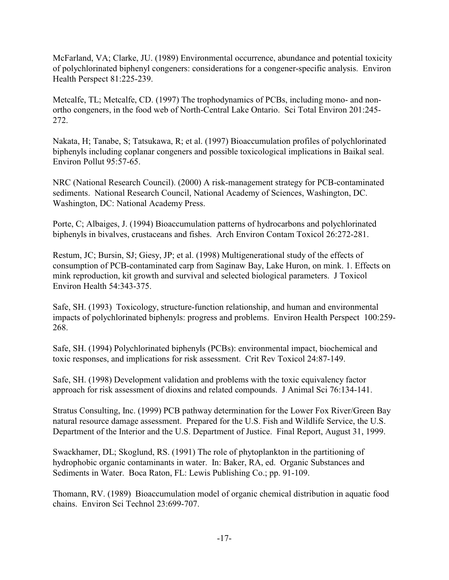McFarland, VA; Clarke, JU. (1989) Environmental occurrence, abundance and potential toxicity of polychlorinated biphenyl congeners: considerations for a congener-specific analysis. Environ Health Perspect 81:225-239.

Metcalfe, TL; Metcalfe, CD. (1997) The trophodynamics of PCBs, including mono- and nonortho congeners, in the food web of North-Central Lake Ontario. Sci Total Environ 201:245- 272.

Nakata, H; Tanabe, S; Tatsukawa, R; et al. (1997) Bioaccumulation profiles of polychlorinated biphenyls including coplanar congeners and possible toxicological implications in Baikal seal. Environ Pollut 95:57-65.

NRC (National Research Council). (2000) A risk-management strategy for PCB-contaminated sediments. National Research Council, National Academy of Sciences, Washington, DC. Washington, DC: National Academy Press.

Porte, C; Albaiges, J. (1994) Bioaccumulation patterns of hydrocarbons and polychlorinated biphenyls in bivalves, crustaceans and fishes. Arch Environ Contam Toxicol 26:272-281.

Restum, JC; Bursin, SJ; Giesy, JP; et al. (1998) Multigenerational study of the effects of consumption of PCB-contaminated carp from Saginaw Bay, Lake Huron, on mink. 1. Effects on mink reproduction, kit growth and survival and selected biological parameters. J Toxicol Environ Health 54:343-375.

Safe, SH. (1993) Toxicology, structure-function relationship, and human and environmental impacts of polychlorinated biphenyls: progress and problems. Environ Health Perspect 100:259- 268.

Safe, SH. (1994) Polychlorinated biphenyls (PCBs): environmental impact, biochemical and toxic responses, and implications for risk assessment. Crit Rev Toxicol 24:87-149.

Safe, SH. (1998) Development validation and problems with the toxic equivalency factor approach for risk assessment of dioxins and related compounds. J Animal Sci 76:134-141.

Stratus Consulting, Inc. (1999) PCB pathway determination for the Lower Fox River/Green Bay natural resource damage assessment. Prepared for the U.S. Fish and Wildlife Service, the U.S. Department of the Interior and the U.S. Department of Justice. Final Report, August 31, 1999.

Swackhamer, DL; Skoglund, RS. (1991) The role of phytoplankton in the partitioning of hydrophobic organic contaminants in water. In: Baker, RA, ed. Organic Substances and Sediments in Water. Boca Raton, FL: Lewis Publishing Co.; pp. 91-109.

Thomann, RV. (1989) Bioaccumulation model of organic chemical distribution in aquatic food chains. Environ Sci Technol 23:699-707.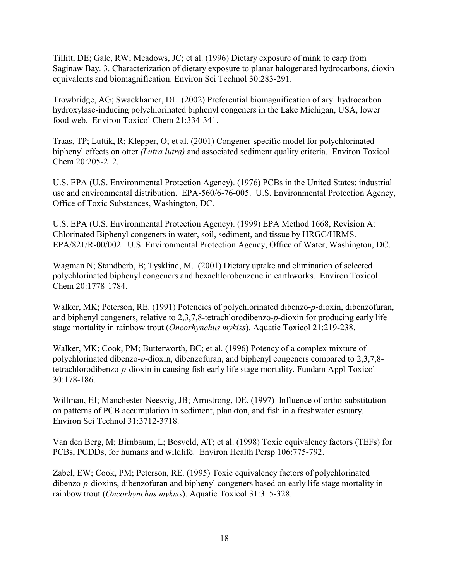Tillitt, DE; Gale, RW; Meadows, JC; et al. (1996) Dietary exposure of mink to carp from Saginaw Bay. 3. Characterization of dietary exposure to planar halogenated hydrocarbons, dioxin equivalents and biomagnification. Environ Sci Technol 30:283-291.

Trowbridge, AG; Swackhamer, DL. (2002) Preferential biomagnification of aryl hydrocarbon hydroxylase-inducing polychlorinated biphenyl congeners in the Lake Michigan, USA, lower food web. Environ Toxicol Chem 21:334-341.

Traas, TP; Luttik, R; Klepper, O; et al. (2001) Congener-specific model for polychlorinated biphenyl effects on otter *(Lutra lutra)* and associated sediment quality criteria. Environ Toxicol Chem 20:205-212.

U.S. EPA (U.S. Environmental Protection Agency). (1976) PCBs in the United States: industrial use and environmental distribution. EPA-560/6-76-005. U.S. Environmental Protection Agency, Office of Toxic Substances, Washington, DC.

U.S. EPA (U.S. Environmental Protection Agency). (1999) EPA Method 1668, Revision A: Chlorinated Biphenyl congeners in water, soil, sediment, and tissue by HRGC/HRMS. EPA/821/R-00/002. U.S. Environmental Protection Agency, Office of Water, Washington, DC.

Wagman N; Standberb, B; Tysklind, M. (2001) Dietary uptake and elimination of selected polychlorinated biphenyl congeners and hexachlorobenzene in earthworks. Environ Toxicol Chem 20:1778-1784.

Walker, MK; Peterson, RE. (1991) Potencies of polychlorinated dibenzo-*p*-dioxin, dibenzofuran, and biphenyl congeners, relative to 2,3,7,8-tetrachlorodibenzo-*p*-dioxin for producing early life stage mortality in rainbow trout (*Oncorhynchus mykiss*). Aquatic Toxicol 21:219-238.

Walker, MK; Cook, PM; Butterworth, BC; et al. (1996) Potency of a complex mixture of polychlorinated dibenzo-*p*-dioxin, dibenzofuran, and biphenyl congeners compared to 2,3,7,8 tetrachlorodibenzo-*p*-dioxin in causing fish early life stage mortality. Fundam Appl Toxicol 30:178-186.

Willman, EJ; Manchester-Neesvig, JB; Armstrong, DE. (1997) Influence of ortho-substitution on patterns of PCB accumulation in sediment, plankton, and fish in a freshwater estuary. Environ Sci Technol 31:3712-3718.

Van den Berg, M; Birnbaum, L; Bosveld, AT; et al. (1998) Toxic equivalency factors (TEFs) for PCBs, PCDDs, for humans and wildlife. Environ Health Persp 106:775-792.

Zabel, EW; Cook, PM; Peterson, RE. (1995) Toxic equivalency factors of polychlorinated dibenzo-*p*-dioxins, dibenzofuran and biphenyl congeners based on early life stage mortality in rainbow trout (*Oncorhynchus mykiss*). Aquatic Toxicol 31:315-328.